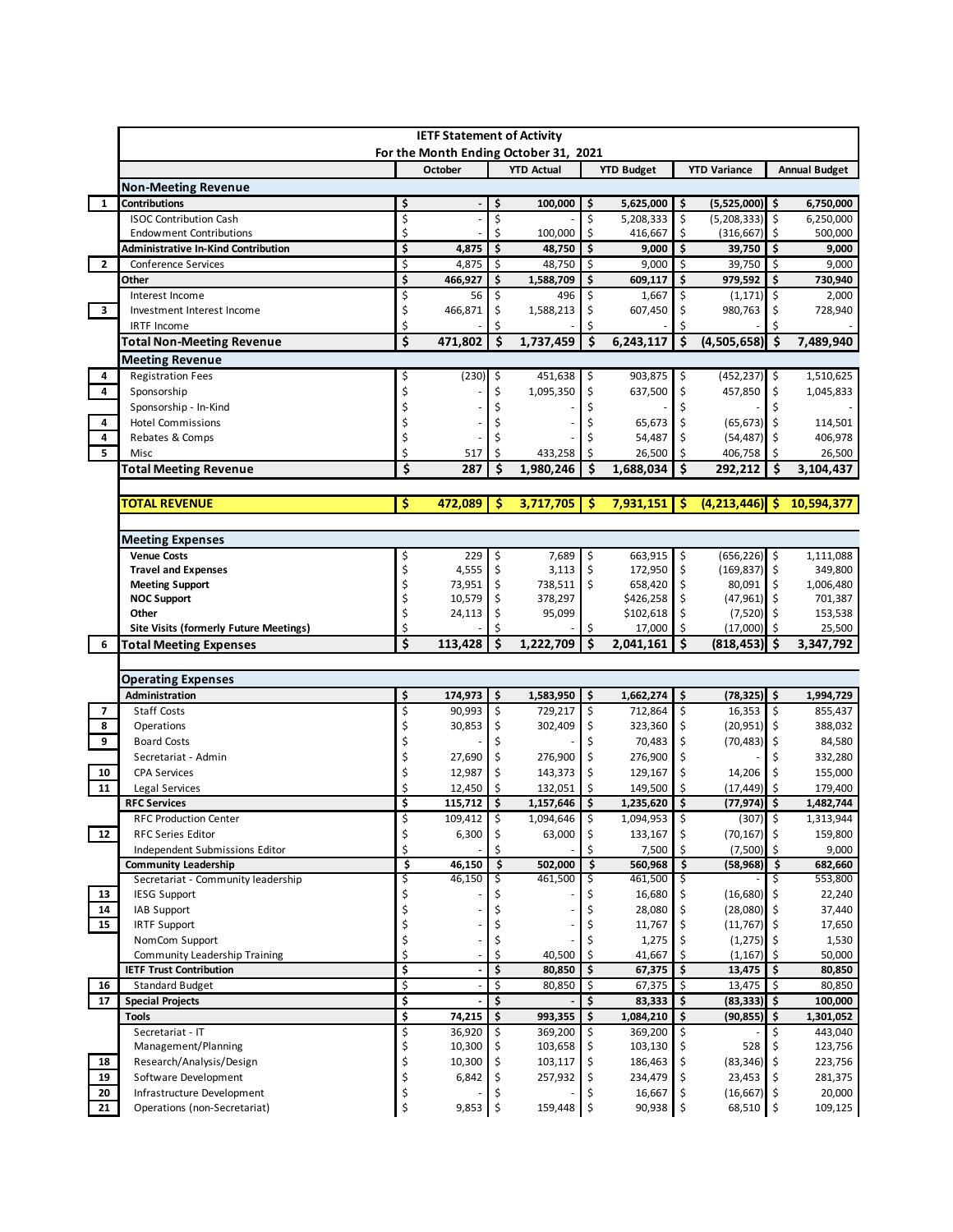|                                                       |                                                                                                                                           | <b>IETF Statement of Activity</b> |                     |                      |         |                      |                      |                            |                |                              |
|-------------------------------------------------------|-------------------------------------------------------------------------------------------------------------------------------------------|-----------------------------------|---------------------|----------------------|---------|----------------------|----------------------|----------------------------|----------------|------------------------------|
|                                                       | For the Month Ending October 31, 2021<br><b>YTD Actual</b><br><b>YTD Variance</b><br><b>Annual Budget</b><br>October<br><b>YTD Budget</b> |                                   |                     |                      |         |                      |                      |                            |                |                              |
| <b>Non-Meeting Revenue</b>                            |                                                                                                                                           |                                   |                     |                      |         |                      |                      |                            |                |                              |
| <b>Contributions</b>                                  | \$                                                                                                                                        |                                   | \$                  | 100,000              | \$      | 5,625,000            | \$                   | (5,525,000)                | \$             | 6,750,000                    |
| <b>ISOC Contribution Cash</b>                         | \$                                                                                                                                        |                                   | \$                  |                      | \$      | 5,208,333            | \$                   | $(5,208,333)$ \$           |                | 6,250,000                    |
| <b>Endowment Contributions</b>                        | Ś                                                                                                                                         |                                   | Ś                   | 100,000              | Ś.      | 416,667              | \$                   | (316, 667)                 | -\$            | 500,000                      |
| <b>Administrative In-Kind Contribution</b>            | \$                                                                                                                                        | 4,875                             | \$                  | 48,750               | \$.     | 9,000                | \$                   | $39,750$ \$                |                | 9,000                        |
| $\overline{2}$<br>Conference Services                 | \$                                                                                                                                        | 4,875                             | \$                  | 48,750               | -\$     | 9,000                | \$                   | 39,750                     | -\$            | 9,000                        |
| Other                                                 | \$                                                                                                                                        | 466,927                           | $\ddot{\bm{\zeta}}$ | 1,588,709            | \$      | 609,117              | \$                   | 979,592                    | -\$            | 730,940                      |
| Interest Income                                       | \$                                                                                                                                        | 56                                | Ś.                  | 496                  | Ś       | 1,667                | \$                   | (1, 171)                   | \$             | 2,000                        |
| $\overline{\mathbf{3}}$<br>Investment Interest Income | \$                                                                                                                                        | 466,871                           | Ś                   | 1,588,213            |         | 607,450              | \$                   | 980,763                    | \$             | 728,940                      |
| <b>IRTF Income</b>                                    | Ś                                                                                                                                         |                                   |                     |                      |         |                      |                      |                            |                |                              |
| <b>Total Non-Meeting Revenue</b>                      | \$                                                                                                                                        | 471,802                           | \$                  | 1,737,459            | \$      | 6,243,117            | \$                   | $(4,505,658)$ \$           |                | 7,489,940                    |
| Meeting Revenue                                       |                                                                                                                                           |                                   |                     |                      |         |                      |                      |                            |                |                              |
| <b>Registration Fees</b>                              | \$                                                                                                                                        | (230)                             | \$                  | 451,638              | \$      | 903,875              | \$                   | $(452, 237)$ \$            |                | 1,510,625                    |
| 4<br>Sponsorship                                      | \$                                                                                                                                        |                                   | \$                  | 1,095,350            | \$      | 637,500              | \$                   | 457,850                    | \$             | 1,045,833                    |
| Sponsorship - In-Kind                                 | \$                                                                                                                                        |                                   |                     |                      |         |                      | \$                   |                            | \$             |                              |
| 4<br><b>Hotel Commissions</b>                         | \$                                                                                                                                        |                                   |                     |                      |         | 65,673               | \$                   | (65, 673)                  | Ŝ.             | 114,501                      |
| 4<br>Rebates & Comps                                  | \$                                                                                                                                        |                                   |                     |                      |         | 54,487               | \$                   | (54, 487)                  | \$             | 406,978                      |
| Misc                                                  | Ś                                                                                                                                         | 517                               | Ś                   | 433,258              | Ś       | 26,500               | Ś                    | 406,758                    | Ŝ.             | 26,500                       |
| <b>Total Meeting Revenue</b>                          | \$                                                                                                                                        | 287                               | S                   | 1,980,246            | \$      | 1,688,034            | Ś                    | 292,212                    | . Ś            | 3,104,437                    |
| <b>TOTAL REVENUE</b>                                  | \$                                                                                                                                        | 472,089                           | -Ś                  | 3,717,705            | 'S      | 7,931,151            | S                    | $(4, 213, 446)$ \$         |                | 10,594,377                   |
|                                                       |                                                                                                                                           |                                   |                     |                      |         |                      |                      |                            |                |                              |
| <b>Meeting Expenses</b>                               |                                                                                                                                           |                                   |                     |                      |         |                      |                      |                            |                |                              |
| <b>Venue Costs</b>                                    | \$                                                                                                                                        | 229                               | \$                  | 7,689                | \$      | 663,915              | \$                   | $(656, 226)$ \$            |                | 1,111,088                    |
| <b>Travel and Expenses</b>                            | \$                                                                                                                                        | 4,555                             | \$.                 | 3,113                | \$      | 172,950              | \$                   | $(169, 837)$ \$            |                | 349,800                      |
| <b>Meeting Support</b>                                | \$                                                                                                                                        | 73,951                            | \$                  | 738,511              | \$      | 658,420              | \$                   | 80,091                     | \$             | 1,006,480                    |
| <b>NOC Support</b>                                    | \$                                                                                                                                        | 10,579                            | \$                  | 378,297              |         | \$426,258            | \$                   | $(47,961)$ \$              |                | 701,387                      |
| Other                                                 | \$                                                                                                                                        | 24,113                            | \$                  | 95,099               |         | \$102,618            | \$                   | (7,520)                    | \$ ا           | 153,538                      |
| <b>Site Visits (formerly Future Meetings)</b>         | \$                                                                                                                                        |                                   |                     |                      | \$      | 17,000               | Ŝ.                   | (17,000)                   | Ŝ.             | 25,500                       |
| <b>Total Meeting Expenses</b>                         | \$                                                                                                                                        | 113,428                           | \$                  | 1,222,709            | \$      | 2,041,161            |                      | (818, 453)                 | .s             | 3,347,792                    |
|                                                       |                                                                                                                                           |                                   |                     |                      |         |                      |                      |                            |                |                              |
| <b>Operating Expenses</b>                             |                                                                                                                                           |                                   |                     |                      |         |                      |                      |                            |                |                              |
| Administration<br><b>Staff Costs</b>                  | \$<br>\$                                                                                                                                  | 174,973<br>90,993                 | \$<br>\$            | 1,583,950<br>729,217 | \$      | 1,662,274<br>712,864 | \$                   | (78,325) \$<br>16,353      | $\ddot{\circ}$ | 1,994,729<br>855,437         |
|                                                       |                                                                                                                                           |                                   |                     |                      | \$      |                      | \$                   |                            |                |                              |
| Operations<br><b>Board Costs</b>                      | \$<br>\$                                                                                                                                  | 30,853                            | \$                  | 302,409              | \$      | 323,360              | \$<br>\$             | (20, 951)<br>(70, 483)     | \$             | 388,032                      |
| Secretariat - Admin                                   |                                                                                                                                           | 27,690                            | \$                  | 276,900              | \$      | 70,483<br>276,900    | \$                   |                            | \$<br>\$       | 84,580<br>332,280            |
| 10<br><b>CPA Services</b>                             | \$<br>Ś                                                                                                                                   | 12,987                            | Ś                   | 143,373              | \$      | 129,167              | \$                   | 14,206                     | \$             |                              |
| 11<br>Legal Services                                  |                                                                                                                                           | 12,450                            | Ś                   | 132,051              |         | 149,500              | Ś.                   | (17, 449)                  | -Ś             | 155,000<br>179,400           |
| <b>RFC Services</b>                                   | \$                                                                                                                                        | 115,712                           | \$                  | 1,157,646            | \$      | 1,235,620            | \$                   | $(77, 974)$ \$             |                | 1,482,744                    |
| <b>RFC Production Center</b>                          | ¢                                                                                                                                         | 109,412                           | $\zeta$             | 1,094,646            | $\zeta$ | 1,094,953            | $\boldsymbol{\zeta}$ | (307)                      | \$             | 1,313,944                    |
| 12<br><b>RFC Series Editor</b>                        | \$                                                                                                                                        | 6,300                             | \$                  | 63,000               | \$      | 133,167              | \$                   | $(70, 167)$ \$             |                | 159,800                      |
| Independent Submissions Editor                        | \$                                                                                                                                        |                                   |                     |                      |         | 7,500                | \$                   | $(7,500)$ \$               |                | 9,000                        |
| <b>Community Leadership</b>                           | \$                                                                                                                                        | 46,150                            | \$                  | 502,000              | \$      | 560,968              | \$                   | $(58,968)$ \$              |                | 682,660                      |
| Secretariat - Community leadership                    | \$                                                                                                                                        | 46,150                            | \$                  | 461,500              | \$      | 461,500              | \$                   |                            | \$.            | 553,800                      |
| 13<br><b>IESG Support</b>                             | \$                                                                                                                                        |                                   |                     |                      |         | 16,680               | \$                   | (16,680)                   | \$             | 22,240                       |
| 14<br>IAB Support                                     | \$                                                                                                                                        |                                   |                     |                      | Ś       | 28,080               | \$                   | (28,080)                   | \$             | 37,440                       |
| 15<br><b>IRTF Support</b>                             | \$                                                                                                                                        |                                   | \$                  |                      |         | 11,767               | \$                   | (11,767)                   | \$             | 17,650                       |
| NomCom Support                                        | \$                                                                                                                                        |                                   | Ś                   |                      |         | 1,275                | \$                   | (1, 275)                   | \$             | 1,530                        |
| Community Leadership Training                         | \$                                                                                                                                        |                                   | \$                  | 40,500               | \$      | 41,667               | \$                   | (1, 167)                   | \$             | 50,000                       |
| <b>IETF Trust Contribution</b>                        | \$                                                                                                                                        |                                   | \$                  | 80,850               | \$      | 67,375               | \$                   | 13,475                     | \$             | 80,850                       |
| 16<br><b>Standard Budget</b>                          | \$                                                                                                                                        |                                   | $\dot{\mathsf{S}}$  | 80,850               | \$      | 67,375               | \$                   | 13,475                     | \$             | 80,850                       |
|                                                       | \$                                                                                                                                        |                                   | \$                  |                      | \$      | 83,333               | \$                   | $(83,333)$ \$              |                | 100,000                      |
| 17<br><b>Special Projects</b>                         | \$                                                                                                                                        | 74,215                            | \$                  | 993,355              | \$      | 1,084,210            | \$                   | $(90, 855)$ \$             |                | 1,301,052                    |
| <b>Tools</b>                                          |                                                                                                                                           |                                   | \$                  | 369,200              | \$      | 369,200              | \$                   |                            | \$             | 443,040                      |
| Secretariat - IT                                      | \$                                                                                                                                        | 36,920                            |                     |                      |         |                      |                      |                            |                |                              |
| Management/Planning                                   | \$                                                                                                                                        | 10,300                            | \$                  | 103,658              | \$      | 103,130              | \$                   | 528                        | \$             | 123,756                      |
| 18<br>Research/Analysis/Design                        | \$                                                                                                                                        | 10,300                            | \$                  | 103,117              | \$      | 186,463              | \$                   | (83, 346)                  | Ŝ.             |                              |
| 19<br>Software Development                            | \$                                                                                                                                        | 6,842                             | \$                  | 257,932              | \$      | 234,479              | \$                   | 23,453                     | \$             |                              |
| 20<br>Infrastructure Development                      | \$<br>\$                                                                                                                                  | 9,853                             | \$                  | 159,448 \$           |         | 16,667<br>90,938     | \$<br>$\ddot{\circ}$ | $(16,667)$ \$<br>68,510 \$ |                | 223,756<br>281,375<br>20,000 |